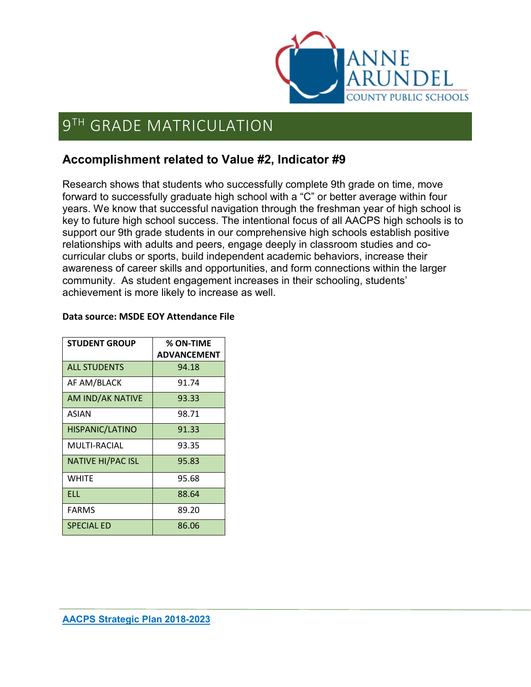

# **9TH GRADE MATRICULATION**

### **Accomplishment related to Value #2, Indicator #9**

Research shows that students who successfully complete 9th grade on time, move forward to successfully graduate high school with a "C" or better average within four years. We know that successful navigation through the freshman year of high school is key to future high school success. The intentional focus of all AACPS high schools is to support our 9th grade students in our comprehensive high schools establish positive relationships with adults and peers, engage deeply in classroom studies and cocurricular clubs or sports, build independent academic behaviors, increase their awareness of career skills and opportunities, and form connections within the larger community. As student engagement increases in their schooling, students' achievement is more likely to increase as well.

| <b>STUDENT GROUP</b>     | % ON-TIME          |
|--------------------------|--------------------|
|                          | <b>ADVANCEMENT</b> |
| <b>ALL STUDENTS</b>      | 94.18              |
| AF AM/BLACK              | 91.74              |
| AM IND/AK NATIVE         | 93.33              |
| ASIAN                    | 98.71              |
| <b>HISPANIC/LATINO</b>   | 91.33              |
| MULTI-RACIAL             | 93.35              |
| <b>NATIVE HI/PAC ISL</b> | 95.83              |
| <b>WHITE</b>             | 95.68              |
| ELL.                     | 88.64              |
| <b>FARMS</b>             | 89.20              |
| <b>SPECIAL ED</b>        | 86.06              |

#### **Data source: MSDE EOY Attendance File**